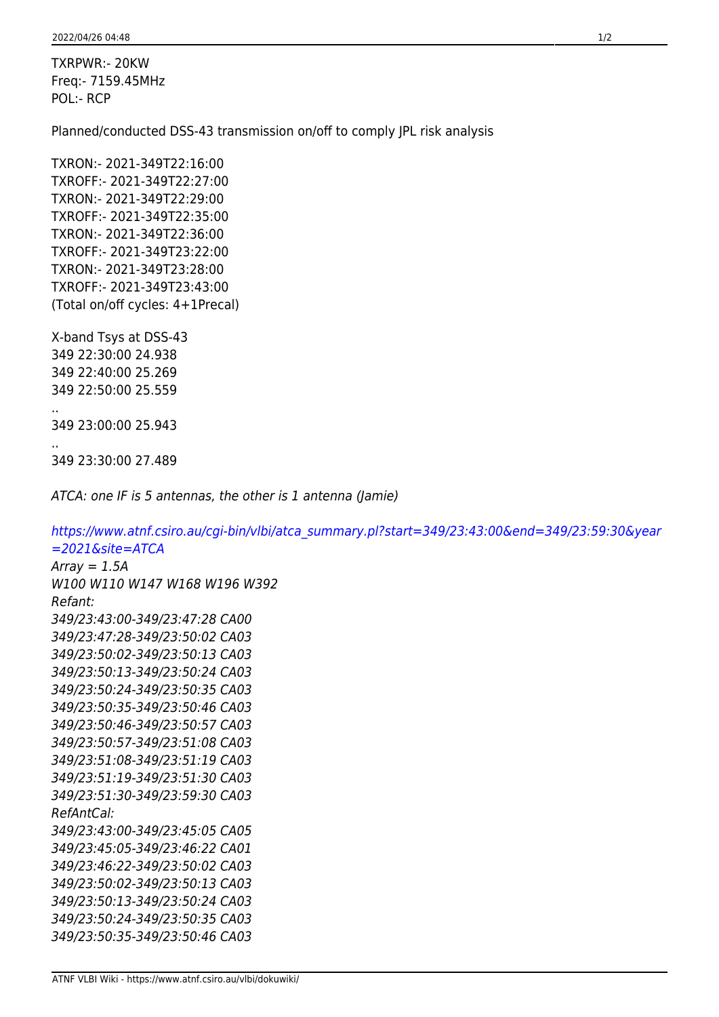TXRPWR:- 20KW Freq:- 7159.45MHz POL:- RCP

Planned/conducted DSS-43 transmission on/off to comply JPL risk analysis

TXRON:- 2021-349T22:16:00 TXROFF:- 2021-349T22:27:00 TXRON:- 2021-349T22:29:00 TXROFF:- 2021-349T22:35:00 TXRON:- 2021-349T22:36:00 TXROFF:- 2021-349T23:22:00 TXRON:- 2021-349T23:28:00 TXROFF:- 2021-349T23:43:00 (Total on/off cycles: 4+1Precal)

X-band Tsys at DSS-43 349 22:30:00 24.938 349 22:40:00 25.269 349 22:50:00 25.559

349 23:00:00 25.943

..

..

349 23:30:00 27.489

ATCA: one IF is 5 antennas, the other is 1 antenna (Jamie)

[https://www.atnf.csiro.au/cgi-bin/vlbi/atca\\_summary.pl?start=349/23:43:00&end=349/23:59:30&year](https://www.atnf.csiro.au/cgi-bin/vlbi/atca_summary.pl?start=349/23:43:00&end=349/23:59:30&year=2021&site=ATCA)  $=2021$ &site=ATCA

 $Array = 1.5A$ W100 W110 W147 W168 W196 W392 Refant: 349/23:43:00-349/23:47:28 CA00 349/23:47:28-349/23:50:02 CA03 349/23:50:02-349/23:50:13 CA03 349/23:50:13-349/23:50:24 CA03 349/23:50:24-349/23:50:35 CA03 349/23:50:35-349/23:50:46 CA03 349/23:50:46-349/23:50:57 CA03 349/23:50:57-349/23:51:08 CA03 349/23:51:08-349/23:51:19 CA03 349/23:51:19-349/23:51:30 CA03 349/23:51:30-349/23:59:30 CA03 RefAntCal: 349/23:43:00-349/23:45:05 CA05 349/23:45:05-349/23:46:22 CA01 349/23:46:22-349/23:50:02 CA03 349/23:50:02-349/23:50:13 CA03 349/23:50:13-349/23:50:24 CA03 349/23:50:24-349/23:50:35 CA03 349/23:50:35-349/23:50:46 CA03